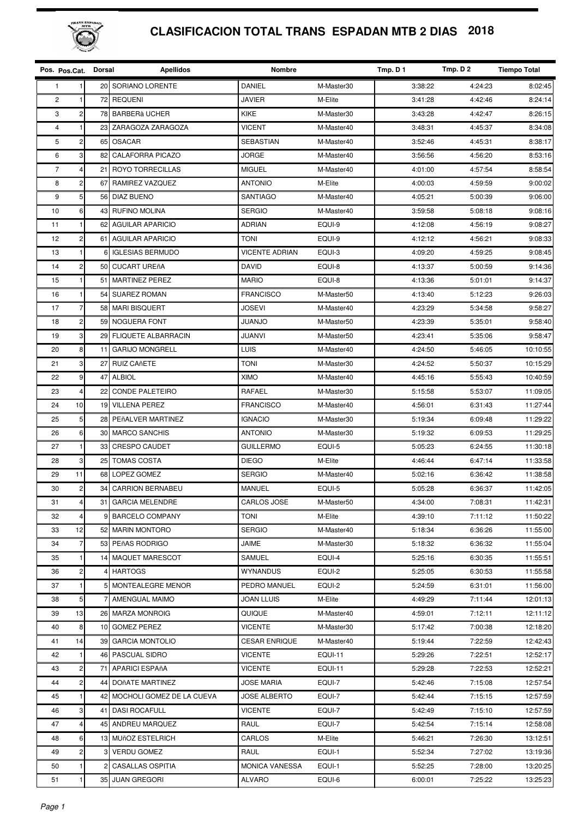

## **CLASIFICACION TOTAL TRANS ESPADAN MTB 2 DIAS 2018**

| Pos. Pos.Cat.  |                         | Dorsal          | <b>Apellidos</b>           | <b>Nombre</b>         |                | Tmp. D 1 | Tmp. D 2 | <b>Tiempo Total</b> |
|----------------|-------------------------|-----------------|----------------------------|-----------------------|----------------|----------|----------|---------------------|
| 1              |                         |                 | 20 SORIANO LORENTE         | DANIEL                | M-Master30     | 3:38:22  | 4:24:23  | 8:02:45             |
| $\overline{2}$ | 1                       | 72              | <b>REQUENI</b>             | JAVIER                | M-Elite        | 3:41:28  | 4:42:46  | 8:24:14             |
| 3              | $\overline{c}$          | 78              | <b>BARBERÀ UCHER</b>       | KIKE                  | M-Master30     | 3:43:28  | 4:42:47  | 8:26:15             |
| 4              | 1                       | 23              | ZARAGOZA ZARAGOZA          | <b>VICENT</b>         | M-Master40     | 3:48:31  | 4:45:37  | 8:34:08             |
| 5              | $\overline{c}$          | 65              | <b>OSACAR</b>              | SEBASTIAN             | M-Master40     | 3:52:46  | 4:45:31  | 8:38:17             |
| 6              | 3                       | 82              | CALAFORRA PICAZO           | JORGE                 | M-Master40     | 3:56:56  | 4:56:20  | 8:53:16             |
| $\overline{7}$ | 4                       | 21              | ROYO TORRECILLAS           | <b>MIGUEL</b>         | M-Master40     | 4:01:00  | 4:57:54  | 8:58:54             |
| 8              | $\mathbf 2$             | 67              | RAMIREZ VAZQUEZ            | <b>ANTONIO</b>        | M-Elite        | 4:00:03  | 4:59:59  | 9:00:02             |
| 9              | 5                       | 56              | <b>DIAZ BUENO</b>          | SANTIAGO              | M-Master40     | 4:05:21  | 5:00:39  | 9:06:00             |
| 10             | 6                       | 43 <sub>l</sub> | <b>RUFINO MOLINA</b>       | <b>SERGIO</b>         | M-Master40     | 3:59:58  | 5:08:18  | 9:08:16             |
| 11             | 1                       | 62              | <b>AGUILAR APARICIO</b>    | <b>ADRIAN</b>         | EQUI-9         | 4:12:08  | 4:56:19  | 9:08:27             |
| 12             | $\overline{\mathbf{c}}$ | 61              | <b>AGUILAR APARICIO</b>    | <b>TONI</b>           | EQUI-9         | 4:12:12  | 4:56:21  | 9:08:33             |
| 13             | $\mathbf{1}$            | 6               | <b>IGLESIAS BERMUDO</b>    | <b>VICENTE ADRIAN</b> | EQUI-3         | 4:09:20  | 4:59:25  | 9:08:45             |
| 14             | $\overline{\mathbf{c}}$ | 50              | <b>CUCART UREñA</b>        | <b>DAVID</b>          | EQUI-8         | 4:13:37  | 5:00:59  | 9:14:36             |
| 15             | 1                       | 51              | <b>MARTINEZ PEREZ</b>      | <b>MARIO</b>          | EQUI-8         | 4:13:36  | 5:01:01  | 9:14:37             |
| 16             |                         | 54              | <b>SUAREZ ROMAN</b>        | <b>FRANCISCO</b>      | M-Master50     | 4:13:40  | 5:12:23  | 9:26:03             |
| 17             | $\overline{7}$          | 58              | <b>MARI BISQUERT</b>       | <b>JOSEVI</b>         | M-Master40     | 4:23:29  | 5:34:58  | 9:58:27             |
| 18             | $\overline{c}$          | 59 <sub>l</sub> | <b>NOGUERA FONT</b>        | <b>JUANJO</b>         | M-Master50     | 4:23:39  | 5:35:01  | 9:58:40             |
| 19             | 3                       | 29              | <b>FLIQUETE ALBARRACIN</b> | <b>JUANVI</b>         | M-Master50     | 4:23:41  | 5:35:06  | 9:58:47             |
| 20             | 8                       | 11              | <b>GARIJO MONGRELL</b>     | LUIS                  | M-Master40     | 4:24:50  | 5:46:05  | 10:10:55            |
| 21             | 3                       | 27              | <b>RUIZ CAñETE</b>         | TONI                  | M-Master30     | 4:24:52  | 5:50:37  | 10:15:29            |
| 22             | 9                       | 47              | <b>ALBIOL</b>              | <b>XIMO</b>           | M-Master40     | 4:45:16  | 5:55:43  | 10:40:59            |
| 23             | 4                       | 22              | <b>CONDE PALETEIRO</b>     | RAFAEL                | M-Master30     | 5:15:58  | 5:53:07  | 11:09:05            |
| 24             | 10                      | 19              | <b>VILLENA PEREZ</b>       | <b>FRANCISCO</b>      | M-Master40     | 4:56:01  | 6:31:43  | 11:27:44            |
| 25             | 5                       | 28              | PEñALVER MARTINEZ          | <b>IGNACIO</b>        | M-Master30     | 5:19:34  | 6:09:48  | 11:29:22            |
| 26             | 6                       | 30              | <b>MARCO SANCHIS</b>       | <b>ANTONIO</b>        | M-Master30     | 5:19:32  | 6:09:53  | 11:29:25            |
| 27             | 1                       | 33              | <b>CRESPO CAUDET</b>       | <b>GUILLERMO</b>      | EQUI-5         | 5:05:23  | 6:24:55  | 11:30:18            |
| 28             | 3                       | 25              | <b>TOMAS COSTA</b>         | <b>DIEGO</b>          | M-Elite        | 4:46:44  | 6:47:14  | 11:33:58            |
| 29             | 11                      | 68              | LOPEZ GOMEZ                | <b>SERGIO</b>         | M-Master40     | 5:02:16  | 6:36:42  | 11:38:58            |
| 30             | $\overline{\mathbf{c}}$ | 34              | <b>CARRION BERNABEU</b>    | <b>MANUEL</b>         | EQUI-5         | 5:05:28  | 6:36:37  | 11:42:05            |
| 31             | 4                       |                 | 31 GARCIA MELENDRE         | CARLOS JOSE           | M-Master50     | 4:34:00  | 7:08:31  | 11:42:31            |
| 32             | 4                       | 9               | <b>BARCELO COMPANY</b>     | TONI                  | M-Elite        | 4:39:10  | 7:11:12  | 11:50:22            |
| 33             | 12                      |                 | 52 MARIN MONTORO           | <b>SERGIO</b>         | M-Master40     | 5:18:34  | 6:36:26  | 11:55:00            |
| 34             | $\overline{7}$          |                 | 53 PEñAS RODRIGO           | JAIME                 | M-Master30     | 5:18:32  | 6:36:32  | 11:55:04            |
| 35             | 1                       | 14              | MAQUET MARESCOT            | SAMUEL                | EQUI-4         | 5:25:16  | 6:30:35  | 11:55:51            |
| 36             | $\overline{\mathbf{c}}$ |                 | 4 HARTOGS                  | <b>WYNANDUS</b>       | EQUI-2         | 5:25:05  | 6:30:53  | 11:55:58            |
| 37             |                         | 51              | MONTEALEGRE MENOR          | PEDRO MANUEL          | EQUI-2         | 5:24:59  | 6:31:01  | 11:56:00            |
| 38             | 5                       |                 | AMENGUAL MAIMO             | JOAN LLUIS            | M-Elite        | 4:49:29  | 7:11:44  | 12:01:13            |
| 39             | 13                      | 26 I            | <b>MARZA MONROIG</b>       | QUIQUE                | M-Master40     | 4:59:01  | 7:12:11  | 12:11:12            |
| 40             | 8                       | 10 <sup>1</sup> | <b>GOMEZ PEREZ</b>         | <b>VICENTE</b>        | M-Master30     | 5:17:42  | 7:00:38  | 12:18:20            |
| 41             | 14                      | 39              | <b>GARCIA MONTOLIO</b>     | <b>CESAR ENRIQUE</b>  | M-Master40     | 5:19:44  | 7:22:59  | 12:42:43            |
| 42             | 1                       | 46              | <b>PASCUAL SIDRO</b>       | <b>VICENTE</b>        | <b>EQUI-11</b> | 5:29:26  | 7:22:51  | 12:52:17            |
| 43             | 2                       | 71              | <b>APARICI ESPAñA</b>      | <b>VICENTE</b>        | <b>EQUI-11</b> | 5:29:28  | 7:22:53  | 12:52:21            |
| 44             | 2                       | 44              | DOñATE MARTINEZ            | <b>JOSE MARIA</b>     | EQUI-7         | 5:42:46  | 7:15:08  | 12:57:54            |
| 45             |                         | 42              | MOCHOLI GOMEZ DE LA CUEVA  | JOSE ALBERTO          | EQUI-7         | 5:42:44  | 7:15:15  | 12:57:59            |
| 46             | 3                       | 41              | <b>DASI ROCAFULL</b>       | <b>VICENTE</b>        | EQUI-7         | 5:42:49  | 7:15:10  | 12:57:59            |
| 47             | 4                       | 45              | ANDREU MARQUEZ             | RAUL                  | EQUI-7         | 5:42:54  | 7:15:14  | 12:58:08            |
| 48             | 6                       |                 | 13 MUñOZ ESTELRICH         | CARLOS                | M-Elite        | 5:46:21  | 7:26:30  | 13:12:51            |
| 49             | 2                       | 31              | <b>VERDU GOMEZ</b>         | RAUL                  | EQUI-1         | 5:52:34  | 7:27:02  | 13:19:36            |
| 50             |                         | 2               | <b>CASALLAS OSPITIA</b>    | <b>MONICA VANESSA</b> | EQUI-1         | 5:52:25  | 7:28:00  | 13:20:25            |
| 51             | 1                       |                 | 35 JUAN GREGORI            | ALVARO                | EQUI-6         | 6:00:01  | 7:25:22  | 13:25:23            |